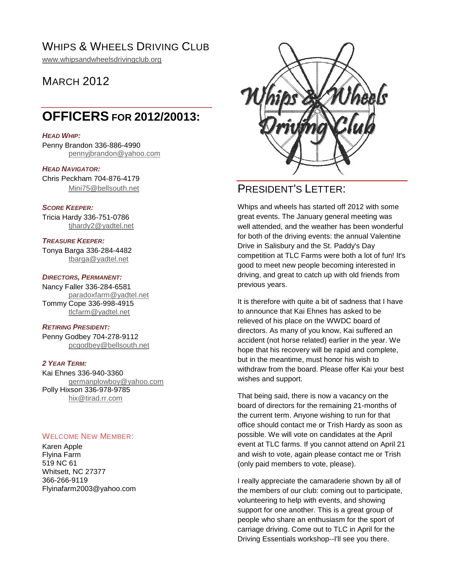## WHIPS & WHEELS DRIVING CLUB

[www.whipsandwheelsdrivingclub.org](http://www.whipsandwheelsdrivingclub.org/)

## **MARCH 2012**

## **OFFICERS FOR 2012/20013:**

#### *HEAD WHIP:*

Penny Brandon 336-886-4990 [pennyjbrandon@yahoo.com](mailto:pennyjbrandon@yahoo.com)

#### *HEAD NAVIGATOR:*

Chris Peckham 704-876-4179 [Mini75@bellsouth.net](mailto:Mini75@bellsouth.net)

#### *SCORE KEEPER:*

Tricia Hardy 336-751-0786 [tjhardy2@yadtel.net](mailto:tjhardy2@yadtel.net)

## *TREASURE KEEPER:*

Tonya Barga 336-284-4482 [tbarga@yadtel.net](mailto:tbarga@yadtel.net)

#### *DIRECTORS, PERMANENT:*

Nancy Faller 336-284-6581 [paradoxfarm@yadtel.net](mailto:paradoxfarm@yadtel.net) Tommy Cope 336-998-4915 [tlcfarm@yadtel.net](mailto:tlcfarm@yadtel.net)

#### *RETIRING PRESIDENT:*

Penny Godbey 704-278-9112 [pcgodbey@bellsouth.net](mailto:pcgodbey@bellsouth.net)

#### *2 YEAR TERM:*

Kai Ehnes 336-940-3360 germa[nplowboy@yahoo.com](mailto:plowboy@yahoo.com) Polly Hixson 336-978-9785 [hix@tirad.rr.com](mailto:hix@tirad.rr.com)

#### WELCOME NEW MEMBER:

Karen Apple Flyina Farm 519 NC 61 Whitsett, NC 27377 366-266-9119 Flyinafarm2003@yahoo.com



## PRESIDENT'S LETTER:

Whips and wheels has started off 2012 with some great events. The January general meeting was well attended, and the weather has been wonderful for both of the driving events: the annual Valentine Drive in Salisbury and the St. Paddy's Day competition at TLC Farms were both a lot of fun! It's good to meet new people becoming interested in driving, and great to catch up with old friends from previous years.

It is therefore with quite a bit of sadness that I have to announce that Kai Ehnes has asked to be relieved of his place on the WWDC board of directors. As many of you know, Kai suffered an accident (not horse related) earlier in the year. We hope that his recovery will be rapid and complete, but in the meantime, must honor his wish to withdraw from the board. Please offer Kai your best wishes and support.

That being said, there is now a vacancy on the board of directors for the remaining 21-months of the current term. Anyone wishing to run for that office should contact me or Trish Hardy as soon as possible. We will vote on candidates at the April event at TLC farms. If you cannot attend on April 21 and wish to vote, again please contact me or Trish (only paid members to vote, please).

I really appreciate the camaraderie shown by all of the members of our club: coming out to participate, volunteering to help with events, and showing support for one another. This is a great group of people who share an enthusiasm for the sport of carriage driving. Come out to TLC in April for the Driving Essentials workshop--I'll see you there.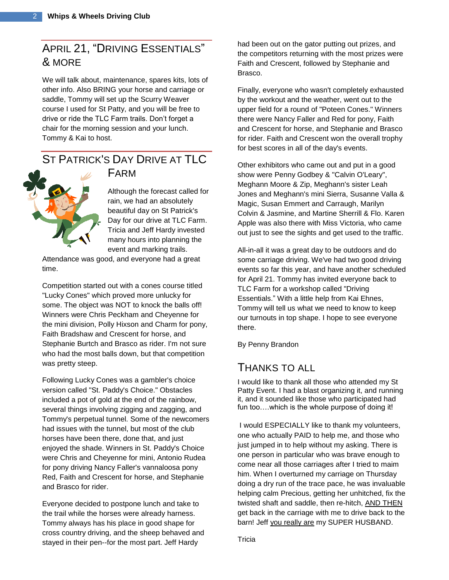## APRIL 21, "DRIVING ESSENTIALS" & MORE

We will talk about, maintenance, spares kits, lots of other info. Also BRING your horse and carriage or saddle, Tommy will set up the Scurry Weaver course I used for St Patty, and you will be free to drive or ride the TLC Farm trails. Don't forget a chair for the morning session and your lunch. Tommy & Kai to host.

# ST PATRICK'S DAY DRIVE AT TLC



FARM Although the forecast called for rain, we had an absolutely beautiful day on St Patrick's

Day for our drive at TLC Farm. Tricia and Jeff Hardy invested many hours into planning the event and marking trails.

Attendance was good, and everyone had a great time.

Competition started out with a cones course titled "Lucky Cones" which proved more unlucky for some. The object was NOT to knock the balls off! Winners were Chris Peckham and Cheyenne for the mini division, Polly Hixson and Charm for pony, Faith Bradshaw and Crescent for horse, and Stephanie Burtch and Brasco as rider. I'm not sure who had the most balls down, but that competition was pretty steep.

Following Lucky Cones was a gambler's choice version called "St. Paddy's Choice." Obstacles included a pot of gold at the end of the rainbow, several things involving zigging and zagging, and Tommy's perpetual tunnel. Some of the newcomers had issues with the tunnel, but most of the club horses have been there, done that, and just enjoyed the shade. Winners in St. Paddy's Choice were Chris and Cheyenne for mini, Antonio Rudea for pony driving Nancy Faller's vannaloosa pony Red, Faith and Crescent for horse, and Stephanie and Brasco for rider.

Everyone decided to postpone lunch and take to the trail while the horses were already harness. Tommy always has his place in good shape for cross country driving, and the sheep behaved and stayed in their pen--for the most part. Jeff Hardy

had been out on the gator putting out prizes, and the competitors returning with the most prizes were Faith and Crescent, followed by Stephanie and Brasco.

Finally, everyone who wasn't completely exhausted by the workout and the weather, went out to the upper field for a round of "Poteen Cones." Winners there were Nancy Faller and Red for pony, Faith and Crescent for horse, and Stephanie and Brasco for rider. Faith and Crescent won the overall trophy for best scores in all of the day's events.

Other exhibitors who came out and put in a good show were Penny Godbey & "Calvin O'Leary", Meghann Moore & Zip, Meghann's sister Leah Jones and Meghann's mini Sierra, Susanne Valla & Magic, Susan Emmert and Carraugh, Marilyn Colvin & Jasmine, and Martine Sherrill & Flo. Karen Apple was also there with Miss Victoria, who came out just to see the sights and get used to the traffic.

All-in-all it was a great day to be outdoors and do some carriage driving. We've had two good driving events so far this year, and have another scheduled for April 21. Tommy has invited everyone back to TLC Farm for a workshop called "Driving Essentials." With a little help from Kai Ehnes, Tommy will tell us what we need to know to keep our turnouts in top shape. I hope to see everyone there.

By Penny Brandon

### THANKS TO ALL

I would like to thank all those who attended my St Patty Event. I had a blast organizing it, and running it, and it sounded like those who participated had fun too….which is the whole purpose of doing it!

I would ESPECIALLY like to thank my volunteers, one who actually PAID to help me, and those who just jumped in to help without my asking. There is one person in particular who was brave enough to come near all those carriages after I tried to maim him. When I overturned my carriage on Thursday doing a dry run of the trace pace, he was invaluable helping calm Precious, getting her unhitched, fix the twisted shaft and saddle, then re-hitch, AND THEN get back in the carriage with me to drive back to the barn! Jeff you really are my SUPER HUSBAND.

Tricia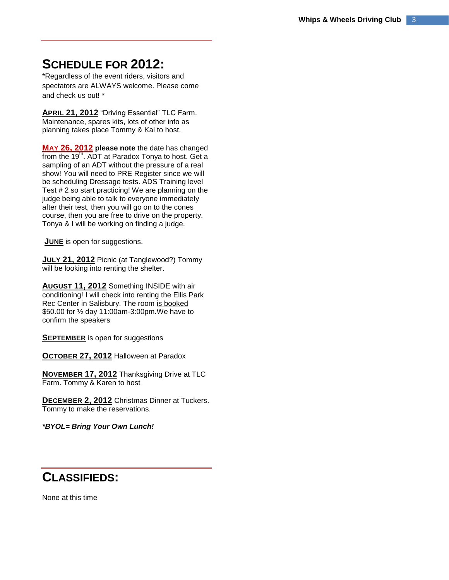## **SCHEDULE FOR 2012:**

\*Regardless of the event riders, visitors and spectators are ALWAYS welcome. Please come and check us out! \*

**APRIL 21, 2012** "Driving Essential" TLC Farm. Maintenance, spares kits, lots of other info as planning takes place Tommy & Kai to host.

**MAY 26, 2012 please note** the date has changed from the 19<sup>th</sup>. ADT at Paradox Tonya to host. Get a sampling of an ADT without the pressure of a real show! You will need to PRE Register since we will be scheduling Dressage tests. ADS Training level Test # 2 so start practicing! We are planning on the judge being able to talk to everyone immediately after their test, then you will go on to the cones course, then you are free to drive on the property. Tonya & I will be working on finding a judge.

**JUNE** is open for suggestions.

**JULY 21, 2012** Picnic (at Tanglewood?) Tommy will be looking into renting the shelter.

**AUGUST 11, 2012** Something INSIDE with air conditioning! I will check into renting the Ellis Park Rec Center in Salisbury. The room is booked \$50.00 for ½ day 11:00am-3:00pm*.*We have to confirm the speakers

**SEPTEMBER** is open for suggestions

**OCTOBER 27, 2012** Halloween at Paradox

**NOVEMBER 17, 2012** Thanksgiving Drive at TLC Farm. Tommy & Karen to host

**DECEMBER 2, 2012** Christmas Dinner at Tuckers. Tommy to make the reservations.

*\*BYOL= Bring Your Own Lunch!*

## **CLASSIFIEDS:**

None at this time